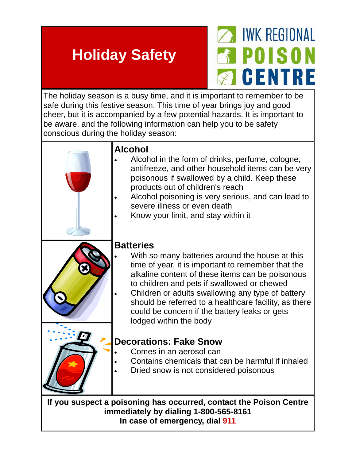# **Holiday Safety**



The holiday season is a busy time, and it is important to remember to be safe during this festive season. This time of year brings joy and good cheer, but it is accompanied by a few potential hazards. It is important to be aware, and the following information can help you to be safety conscious during the holiday season:

| <b>Alcohol</b><br>Alcohol in the form of drinks, perfume, cologne,<br>antifreeze, and other household items can be very<br>poisonous if swallowed by a child. Keep these<br>products out of children's reach<br>Alcohol poisoning is very serious, and can lead to<br>severe illness or even death<br>Know your limit, and stay within it                                                                             |
|-----------------------------------------------------------------------------------------------------------------------------------------------------------------------------------------------------------------------------------------------------------------------------------------------------------------------------------------------------------------------------------------------------------------------|
| <b>Batteries</b><br>With so many batteries around the house at this<br>time of year, it is important to remember that the<br>alkaline content of these items can be poisonous<br>to children and pets if swallowed or chewed<br>Children or adults swallowing any type of battery<br>should be referred to a healthcare facility, as there<br>could be concern if the battery leaks or gets<br>lodged within the body |
| <b>Decorations: Fake Snow</b><br>Comes in an aerosol can<br>Contains chemicals that can be harmful if inhaled                                                                                                                                                                                                                                                                                                         |
| Dried snow is not considered poisonous<br>If you suspect a poisoning has occurred, contact the Poison Centre                                                                                                                                                                                                                                                                                                          |

**If you suspect a poisoning has occurred, contact the Poison Centre immediately by dialing 1-800-565-8161 In case of emergency, dial 911**